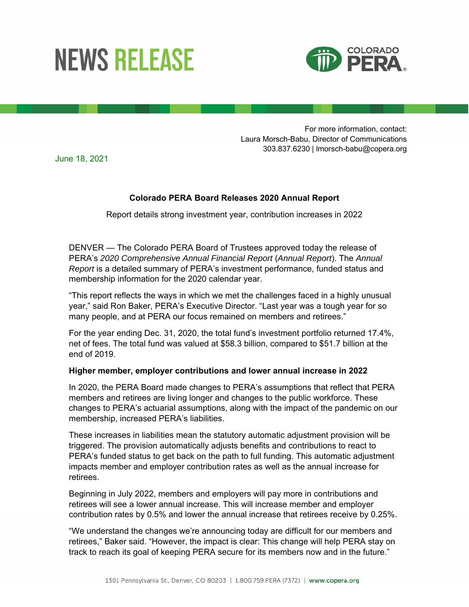## **NEWS RELEASE**



For more information, contact: Laura Morsch-Babu, Director of Communications 303.837.6230 | lmorsch-babu@copera.org

June 18, 2021

## **Colorado PERA Board Releases 2020 Annual Report**

Report details strong investment year, contribution increases in 2022

DENVER — The Colorado PERA Board of Trustees approved today the release of PERA's *2020 Comprehensive Annual Financial Report* (*Annual Report*). The *Annual Report* is a detailed summary of PERA's investment performance, funded status and membership information for the 2020 calendar year.

"This report reflects the ways in which we met the challenges faced in a highly unusual year," said Ron Baker, PERA's Executive Director. "Last year was a tough year for so many people, and at PERA our focus remained on members and retirees."

For the year ending Dec. 31, 2020, the total fund's investment portfolio returned 17.4%, net of fees. The total fund was valued at \$58.3 billion, compared to \$51.7 billion at the end of 2019.

## **Higher member, employer contributions and lower annual increase in 2022**

In 2020, the PERA Board made changes to PERA's assumptions that reflect that PERA members and retirees are living longer and changes to the public workforce. These changes to PERA's actuarial assumptions, along with the impact of the pandemic on our membership, increased PERA's liabilities.

These increases in liabilities mean the statutory automatic adjustment provision will be triggered. The provision automatically adjusts benefits and contributions to react to PERA's funded status to get back on the path to full funding. This automatic adjustment impacts member and employer contribution rates as well as the annual increase for retirees.

Beginning in July 2022, members and employers will pay more in contributions and retirees will see a lower annual increase. This will increase member and employer contribution rates by 0.5% and lower the annual increase that retirees receive by 0.25%.

"We understand the changes we're announcing today are difficult for our members and retirees," Baker said. "However, the impact is clear: This change will help PERA stay on track to reach its goal of keeping PERA secure for its members now and in the future."